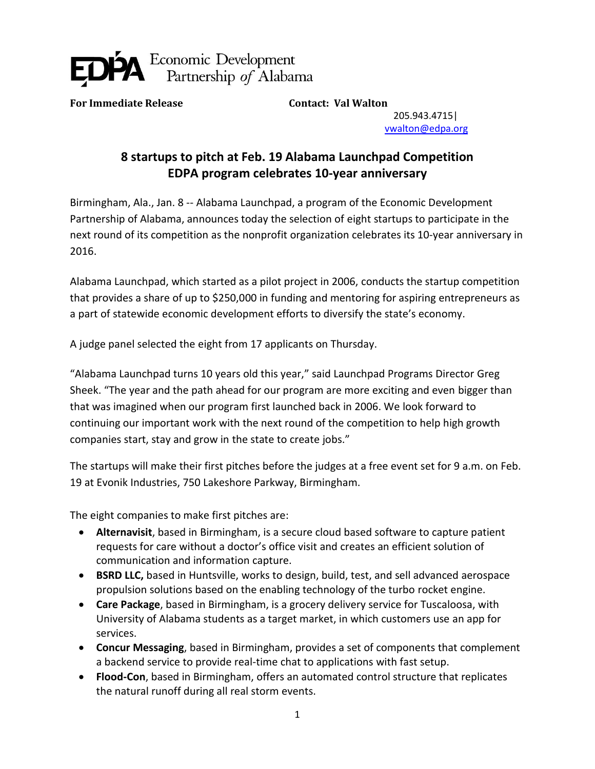

**For Immediate Release Contact: Val Walton**

205.943.4715| [vwalton@edpa.org](mailto:vwalton@edpa.org)

## **8 startups to pitch at Feb. 19 Alabama Launchpad Competition EDPA program celebrates 10-year anniversary**

Birmingham, Ala., Jan. 8 -- Alabama Launchpad, a program of the Economic Development Partnership of Alabama, announces today the selection of eight startups to participate in the next round of its competition as the nonprofit organization celebrates its 10-year anniversary in 2016.

Alabama Launchpad, which started as a pilot project in 2006, conducts the startup competition that provides a share of up to \$250,000 in funding and mentoring for aspiring entrepreneurs as a part of statewide economic development efforts to diversify the state's economy.

A judge panel selected the eight from 17 applicants on Thursday.

"Alabama Launchpad turns 10 years old this year," said Launchpad Programs Director Greg Sheek. "The year and the path ahead for our program are more exciting and even bigger than that was imagined when our program first launched back in 2006. We look forward to continuing our important work with the next round of the competition to help high growth companies start, stay and grow in the state to create jobs."

The startups will make their first pitches before the judges at a free event set for 9 a.m. on Feb. 19 at Evonik Industries, 750 Lakeshore Parkway, Birmingham.

The eight companies to make first pitches are:

- **Alternavisit**, based in Birmingham, is a secure cloud based software to capture patient requests for care without a doctor's office visit and creates an efficient solution of communication and information capture.
- **BSRD LLC,** based in Huntsville, works to design, build, test, and sell advanced aerospace propulsion solutions based on the enabling technology of the turbo rocket engine.
- **Care Package**, based in Birmingham, is a grocery delivery service for Tuscaloosa, with University of Alabama students as a target market, in which customers use an app for services.
- **Concur Messaging**, based in Birmingham, provides a set of components that complement a backend service to provide real-time chat to applications with fast setup.
- **Flood-Con**, based in Birmingham, offers an automated control structure that replicates the natural runoff during all real storm events.